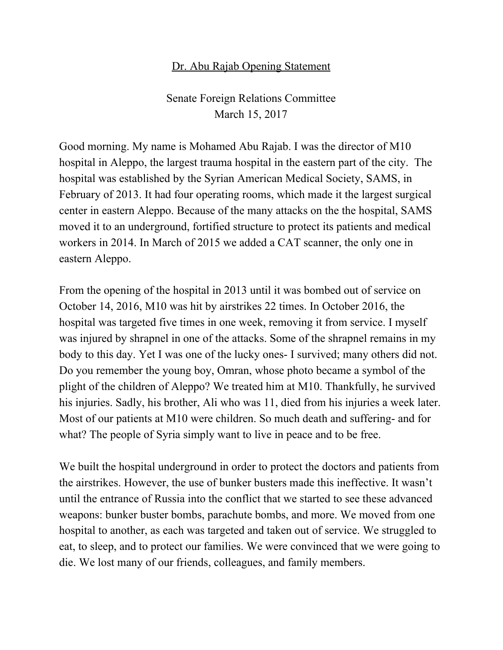## Dr. Abu Rajab Opening Statement

Senate Foreign Relations Committee March 15, 2017

Good morning. My name is Mohamed Abu Rajab. I was the director of M10 hospital in Aleppo, the largest trauma hospital in the eastern part of the city. The hospital was established by the Syrian American Medical Society, SAMS, in February of 2013. It had four operating rooms, which made it the largest surgical center in eastern Aleppo. Because of the many attacks on the the hospital, SAMS moved it to an underground, fortified structure to protect its patients and medical workers in 2014. In March of 2015 we added a CAT scanner, the only one in eastern Aleppo.

From the opening of the hospital in 2013 until it was bombed out of service on October 14, 2016, M10 was hit by airstrikes 22 times. In October 2016, the hospital was targeted five times in one week, removing it from service. I myself was injured by shrapnel in one of the attacks. Some of the shrapnel remains in my body to this day. Yet I was one of the lucky ones- I survived; many others did not. Do you remember the young boy, Omran, whose photo became a symbol of the plight of the children of Aleppo? We treated him at M10. Thankfully, he survived his injuries. Sadly, his brother, Ali who was 11, died from his injuries a week later. Most of our patients at M10 were children. So much death and suffering- and for what? The people of Syria simply want to live in peace and to be free.

We built the hospital underground in order to protect the doctors and patients from the airstrikes. However, the use of bunker busters made this ineffective. It wasn't until the entrance of Russia into the conflict that we started to see these advanced weapons: bunker buster bombs, parachute bombs, and more. We moved from one hospital to another, as each was targeted and taken out of service. We struggled to eat, to sleep, and to protect our families. We were convinced that we were going to die. We lost many of our friends, colleagues, and family members.